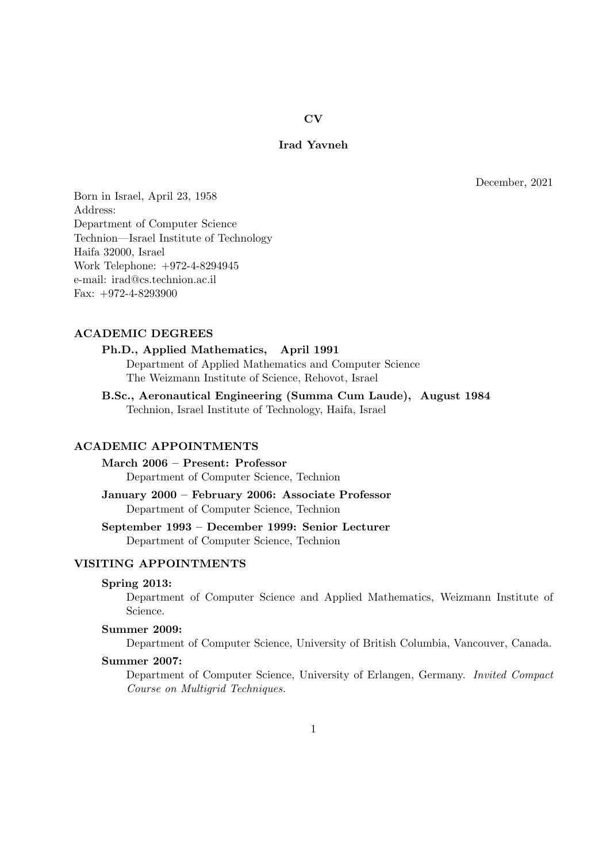# CV

# Irad Yavneh

December, 2021

Born in Israel, April 23, 1958 Address: Department of Computer Science Technion—Israel Institute of Technology Haifa 32000, Israel Work Telephone: +972-4-8294945 e-mail: irad@cs.technion.ac.il Fax: +972-4-8293900

## ACADEMIC DEGREES

## Ph.D., Applied Mathematics, April 1991 Department of Applied Mathematics and Computer Science

The Weizmann Institute of Science, Rehovot, Israel

B.Sc., Aeronautical Engineering (Summa Cum Laude), August 1984 Technion, Israel Institute of Technology, Haifa, Israel

# ACADEMIC APPOINTMENTS

March 2006 – Present: Professor Department of Computer Science, Technion

January 2000 – February 2006: Associate Professor Department of Computer Science, Technion

September 1993 – December 1999: Senior Lecturer Department of Computer Science, Technion

# VISITING APPOINTMENTS

### Spring 2013:

Department of Computer Science and Applied Mathematics, Weizmann Institute of Science.

# Summer 2009:

Department of Computer Science, University of British Columbia, Vancouver, Canada.

# Summer 2007:

Department of Computer Science, University of Erlangen, Germany. Invited Compact Course on Multigrid Techniques.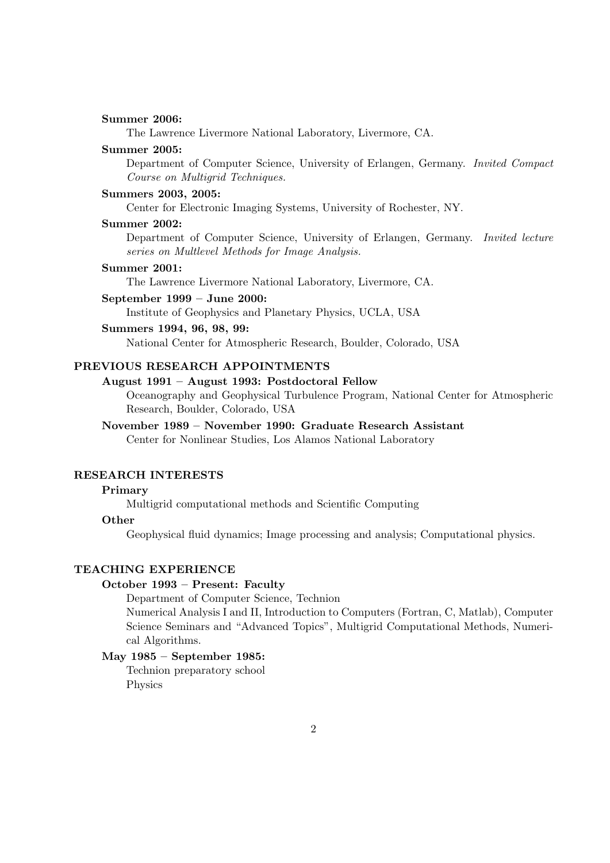## Summer 2006:

The Lawrence Livermore National Laboratory, Livermore, CA.

### Summer 2005:

Department of Computer Science, University of Erlangen, Germany. Invited Compact Course on Multigrid Techniques.

## Summers 2003, 2005:

Center for Electronic Imaging Systems, University of Rochester, NY.

#### Summer 2002:

Department of Computer Science, University of Erlangen, Germany. Invited lecture series on Multlevel Methods for Image Analysis.

### Summer 2001:

The Lawrence Livermore National Laboratory, Livermore, CA.

## September 1999 – June 2000:

Institute of Geophysics and Planetary Physics, UCLA, USA

## Summers 1994, 96, 98, 99:

National Center for Atmospheric Research, Boulder, Colorado, USA

# PREVIOUS RESEARCH APPOINTMENTS

## August 1991 – August 1993: Postdoctoral Fellow

Oceanography and Geophysical Turbulence Program, National Center for Atmospheric Research, Boulder, Colorado, USA

### November 1989 – November 1990: Graduate Research Assistant

Center for Nonlinear Studies, Los Alamos National Laboratory

### RESEARCH INTERESTS

# Primary

Multigrid computational methods and Scientific Computing

### **Other**

Geophysical fluid dynamics; Image processing and analysis; Computational physics.

## TEACHING EXPERIENCE

#### October 1993 – Present: Faculty

Department of Computer Science, Technion Numerical Analysis I and II, Introduction to Computers (Fortran, C, Matlab), Computer Science Seminars and "Advanced Topics", Multigrid Computational Methods, Numerical Algorithms.

# May 1985 – September 1985:

Technion preparatory school Physics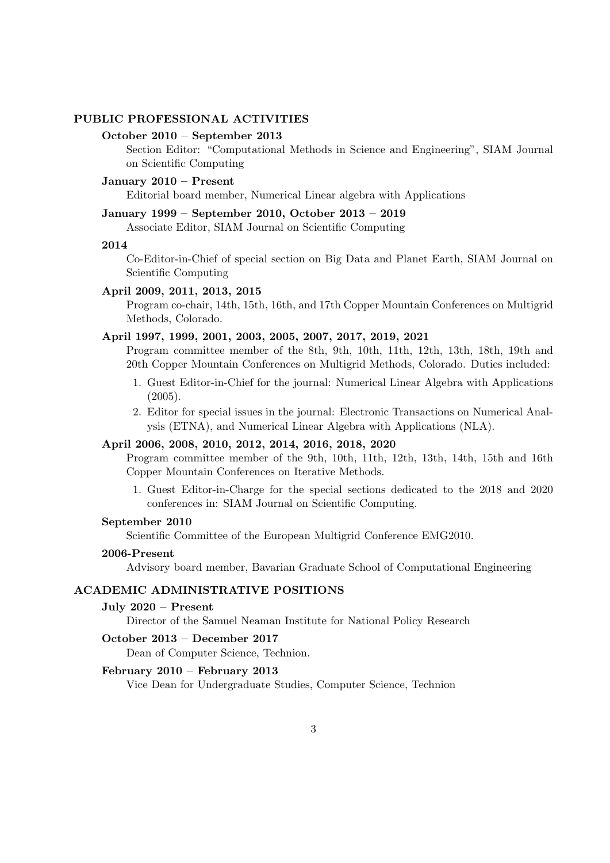# PUBLIC PROFESSIONAL ACTIVITIES

## October 2010 – September 2013

Section Editor: "Computational Methods in Science and Engineering", SIAM Journal on Scientific Computing

## January 2010 – Present

Editorial board member, Numerical Linear algebra with Applications

# January 1999 – September 2010, October 2013 – 2019

Associate Editor, SIAM Journal on Scientific Computing

### 2014

Co-Editor-in-Chief of special section on Big Data and Planet Earth, SIAM Journal on Scientific Computing

## April 2009, 2011, 2013, 2015

Program co-chair, 14th, 15th, 16th, and 17th Copper Mountain Conferences on Multigrid Methods, Colorado.

### April 1997, 1999, 2001, 2003, 2005, 2007, 2017, 2019, 2021

Program committee member of the 8th, 9th, 10th, 11th, 12th, 13th, 18th, 19th and 20th Copper Mountain Conferences on Multigrid Methods, Colorado. Duties included:

- 1. Guest Editor-in-Chief for the journal: Numerical Linear Algebra with Applications (2005).
- 2. Editor for special issues in the journal: Electronic Transactions on Numerical Analysis (ETNA), and Numerical Linear Algebra with Applications (NLA).

## April 2006, 2008, 2010, 2012, 2014, 2016, 2018, 2020

Program committee member of the 9th, 10th, 11th, 12th, 13th, 14th, 15th and 16th Copper Mountain Conferences on Iterative Methods.

1. Guest Editor-in-Charge for the special sections dedicated to the 2018 and 2020 conferences in: SIAM Journal on Scientific Computing.

## September 2010

Scientific Committee of the European Multigrid Conference EMG2010.

## 2006-Present

Advisory board member, Bavarian Graduate School of Computational Engineering

## ACADEMIC ADMINISTRATIVE POSITIONS

### July 2020 – Present

Director of the Samuel Neaman Institute for National Policy Research

### October 2013 – December 2017

Dean of Computer Science, Technion.

### February 2010 – February 2013

Vice Dean for Undergraduate Studies, Computer Science, Technion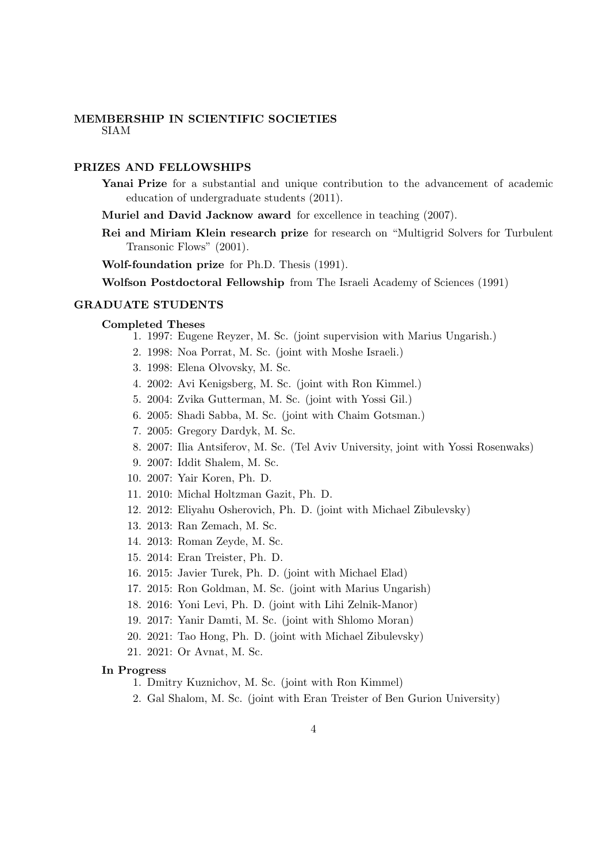# MEMBERSHIP IN SCIENTIFIC SOCIETIES SIAM

### PRIZES AND FELLOWSHIPS

- Yanai Prize for a substantial and unique contribution to the advancement of academic education of undergraduate students (2011).
- Muriel and David Jacknow award for excellence in teaching (2007).
- Rei and Miriam Klein research prize for research on "Multigrid Solvers for Turbulent Transonic Flows" (2001).

Wolf-foundation prize for Ph.D. Thesis (1991).

Wolfson Postdoctoral Fellowship from The Israeli Academy of Sciences (1991)

## GRADUATE STUDENTS

#### Completed Theses

- 1. 1997: Eugene Reyzer, M. Sc. (joint supervision with Marius Ungarish.)
- 2. 1998: Noa Porrat, M. Sc. (joint with Moshe Israeli.)
- 3. 1998: Elena Olvovsky, M. Sc.
- 4. 2002: Avi Kenigsberg, M. Sc. (joint with Ron Kimmel.)
- 5. 2004: Zvika Gutterman, M. Sc. (joint with Yossi Gil.)
- 6. 2005: Shadi Sabba, M. Sc. (joint with Chaim Gotsman.)
- 7. 2005: Gregory Dardyk, M. Sc.
- 8. 2007: Ilia Antsiferov, M. Sc. (Tel Aviv University, joint with Yossi Rosenwaks)
- 9. 2007: Iddit Shalem, M. Sc.
- 10. 2007: Yair Koren, Ph. D.
- 11. 2010: Michal Holtzman Gazit, Ph. D.
- 12. 2012: Eliyahu Osherovich, Ph. D. (joint with Michael Zibulevsky)
- 13. 2013: Ran Zemach, M. Sc.
- 14. 2013: Roman Zeyde, M. Sc.
- 15. 2014: Eran Treister, Ph. D.
- 16. 2015: Javier Turek, Ph. D. (joint with Michael Elad)
- 17. 2015: Ron Goldman, M. Sc. (joint with Marius Ungarish)
- 18. 2016: Yoni Levi, Ph. D. (joint with Lihi Zelnik-Manor)
- 19. 2017: Yanir Damti, M. Sc. (joint with Shlomo Moran)
- 20. 2021: Tao Hong, Ph. D. (joint with Michael Zibulevsky)
- 21. 2021: Or Avnat, M. Sc.

## In Progress

- 1. Dmitry Kuznichov, M. Sc. (joint with Ron Kimmel)
- 2. Gal Shalom, M. Sc. (joint with Eran Treister of Ben Gurion University)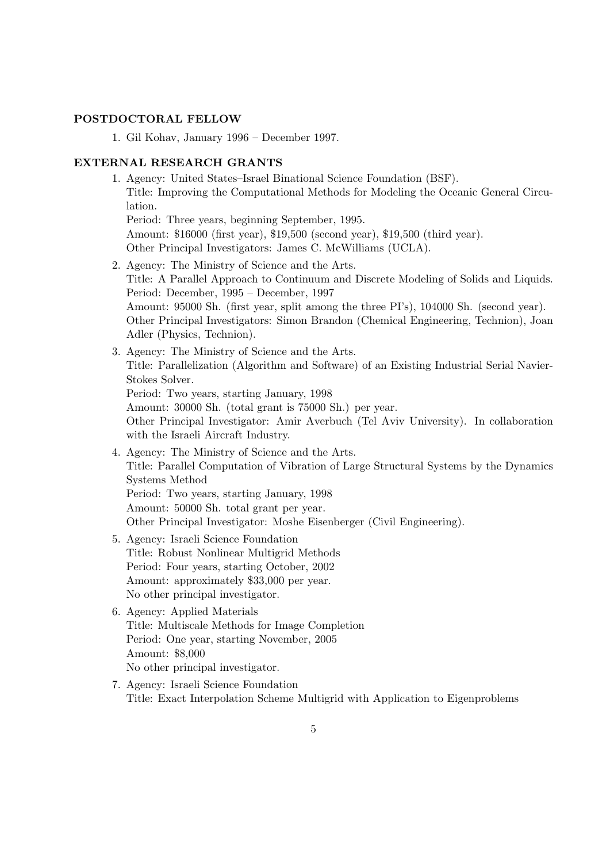# POSTDOCTORAL FELLOW

1. Gil Kohav, January 1996 – December 1997.

# EXTERNAL RESEARCH GRANTS

- 1. Agency: United States–Israel Binational Science Foundation (BSF). Title: Improving the Computational Methods for Modeling the Oceanic General Circulation. Period: Three years, beginning September, 1995. Amount: \$16000 (first year), \$19,500 (second year), \$19,500 (third year). Other Principal Investigators: James C. McWilliams (UCLA). 2. Agency: The Ministry of Science and the Arts. Title: A Parallel Approach to Continuum and Discrete Modeling of Solids and Liquids. Period: December, 1995 – December, 1997 Amount: 95000 Sh. (first year, split among the three PI's), 104000 Sh. (second year). Other Principal Investigators: Simon Brandon (Chemical Engineering, Technion), Joan Adler (Physics, Technion). 3. Agency: The Ministry of Science and the Arts. Title: Parallelization (Algorithm and Software) of an Existing Industrial Serial Navier-
	- Stokes Solver. Period: Two years, starting January, 1998 Amount: 30000 Sh. (total grant is 75000 Sh.) per year. Other Principal Investigator: Amir Averbuch (Tel Aviv University). In collaboration
- with the Israeli Aircraft Industry. 4. Agency: The Ministry of Science and the Arts. Title: Parallel Computation of Vibration of Large Structural Systems by the Dynamics Systems Method Period: Two years, starting January, 1998 Amount: 50000 Sh. total grant per year. Other Principal Investigator: Moshe Eisenberger (Civil Engineering).
- 5. Agency: Israeli Science Foundation Title: Robust Nonlinear Multigrid Methods Period: Four years, starting October, 2002 Amount: approximately \$33,000 per year. No other principal investigator.
- 6. Agency: Applied Materials Title: Multiscale Methods for Image Completion Period: One year, starting November, 2005 Amount: \$8,000 No other principal investigator.
- 7. Agency: Israeli Science Foundation Title: Exact Interpolation Scheme Multigrid with Application to Eigenproblems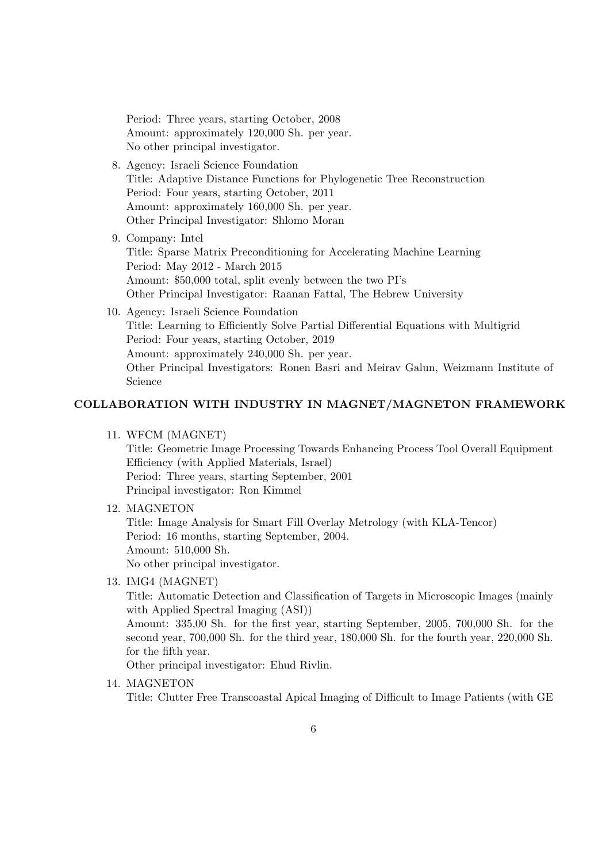Period: Three years, starting October, 2008 Amount: approximately 120,000 Sh. per year. No other principal investigator.

- 8. Agency: Israeli Science Foundation Title: Adaptive Distance Functions for Phylogenetic Tree Reconstruction Period: Four years, starting October, 2011 Amount: approximately 160,000 Sh. per year. Other Principal Investigator: Shlomo Moran
- 9. Company: Intel Title: Sparse Matrix Preconditioning for Accelerating Machine Learning Period: May 2012 - March 2015 Amount: \$50,000 total, split evenly between the two PI's Other Principal Investigator: Raanan Fattal, The Hebrew University
- 10. Agency: Israeli Science Foundation Title: Learning to Efficiently Solve Partial Differential Equations with Multigrid Period: Four years, starting October, 2019 Amount: approximately 240,000 Sh. per year. Other Principal Investigators: Ronen Basri and Meirav Galun, Weizmann Institute of Science

# COLLABORATION WITH INDUSTRY IN MAGNET/MAGNETON FRAMEWORK

11. WFCM (MAGNET)

Title: Geometric Image Processing Towards Enhancing Process Tool Overall Equipment Efficiency (with Applied Materials, Israel) Period: Three years, starting September, 2001 Principal investigator: Ron Kimmel

12. MAGNETON

Title: Image Analysis for Smart Fill Overlay Metrology (with KLA-Tencor) Period: 16 months, starting September, 2004. Amount: 510,000 Sh. No other principal investigator.

13. IMG4 (MAGNET)

Title: Automatic Detection and Classification of Targets in Microscopic Images (mainly with Applied Spectral Imaging (ASI))

Amount: 335,00 Sh. for the first year, starting September, 2005, 700,000 Sh. for the second year, 700,000 Sh. for the third year, 180,000 Sh. for the fourth year, 220,000 Sh. for the fifth year.

Other principal investigator: Ehud Rivlin.

14. MAGNETON Title: Clutter Free Transcoastal Apical Imaging of Difficult to Image Patients (with GE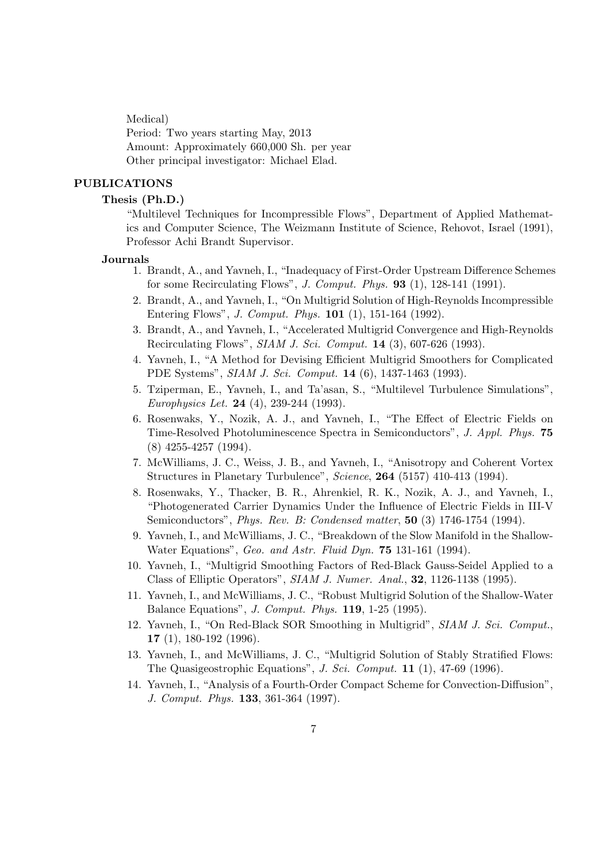Medical)

Period: Two years starting May, 2013 Amount: Approximately 660,000 Sh. per year Other principal investigator: Michael Elad.

## PUBLICATIONS

## Thesis (Ph.D.)

"Multilevel Techniques for Incompressible Flows", Department of Applied Mathematics and Computer Science, The Weizmann Institute of Science, Rehovot, Israel (1991), Professor Achi Brandt Supervisor.

#### Journals

- 1. Brandt, A., and Yavneh, I., "Inadequacy of First-Order Upstream Difference Schemes for some Recirculating Flows", J. Comput. Phys. 93 (1), 128-141 (1991).
- 2. Brandt, A., and Yavneh, I., "On Multigrid Solution of High-Reynolds Incompressible Entering Flows", J. Comput. Phys. 101 (1), 151-164 (1992).
- 3. Brandt, A., and Yavneh, I., "Accelerated Multigrid Convergence and High-Reynolds Recirculating Flows", SIAM J. Sci. Comput. 14 (3), 607-626 (1993).
- 4. Yavneh, I., "A Method for Devising Efficient Multigrid Smoothers for Complicated PDE Systems", SIAM J. Sci. Comput. 14 (6), 1437-1463 (1993).
- 5. Tziperman, E., Yavneh, I., and Ta'asan, S., "Multilevel Turbulence Simulations", Europhysics Let. 24 (4), 239-244 (1993).
- 6. Rosenwaks, Y., Nozik, A. J., and Yavneh, I., "The Effect of Electric Fields on Time-Resolved Photoluminescence Spectra in Semiconductors", J. Appl. Phys. 75 (8) 4255-4257 (1994).
- 7. McWilliams, J. C., Weiss, J. B., and Yavneh, I., "Anisotropy and Coherent Vortex Structures in Planetary Turbulence", Science, 264 (5157) 410-413 (1994).
- 8. Rosenwaks, Y., Thacker, B. R., Ahrenkiel, R. K., Nozik, A. J., and Yavneh, I., "Photogenerated Carrier Dynamics Under the Influence of Electric Fields in III-V Semiconductors", Phys. Rev. B: Condensed matter, 50 (3) 1746-1754 (1994).
- 9. Yavneh, I., and McWilliams, J. C., "Breakdown of the Slow Manifold in the Shallow-Water Equations", Geo. and Astr. Fluid Dyn. **75** 131-161 (1994).
- 10. Yavneh, I., "Multigrid Smoothing Factors of Red-Black Gauss-Seidel Applied to a Class of Elliptic Operators", SIAM J. Numer. Anal., 32, 1126-1138 (1995).
- 11. Yavneh, I., and McWilliams, J. C., "Robust Multigrid Solution of the Shallow-Water Balance Equations", J. Comput. Phys. 119, 1-25 (1995).
- 12. Yavneh, I., "On Red-Black SOR Smoothing in Multigrid", SIAM J. Sci. Comput., 17 (1), 180-192 (1996).
- 13. Yavneh, I., and McWilliams, J. C., "Multigrid Solution of Stably Stratified Flows: The Quasigeostrophic Equations", J. Sci. Comput. 11 (1), 47-69 (1996).
- 14. Yavneh, I., "Analysis of a Fourth-Order Compact Scheme for Convection-Diffusion", J. Comput. Phys. 133, 361-364 (1997).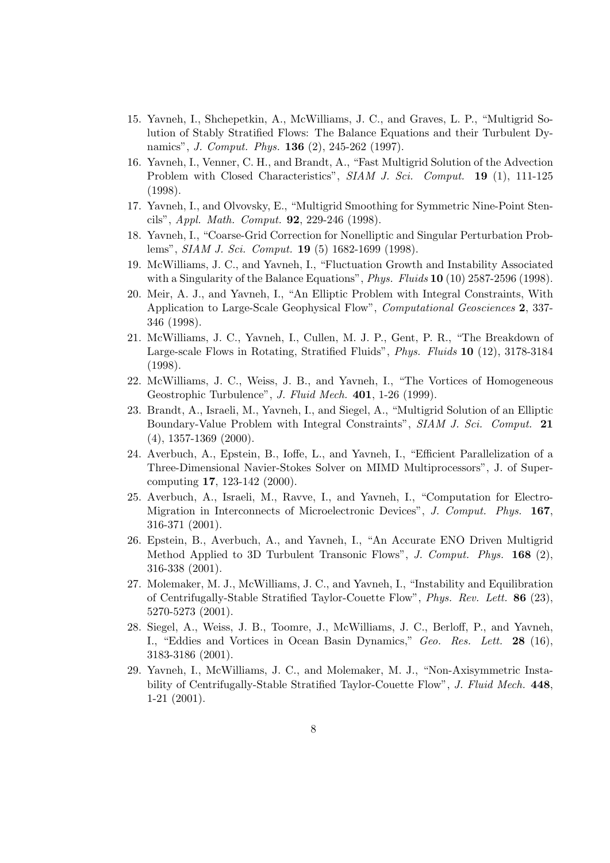- 15. Yavneh, I., Shchepetkin, A., McWilliams, J. C., and Graves, L. P., "Multigrid Solution of Stably Stratified Flows: The Balance Equations and their Turbulent Dynamics", *J. Comput. Phys.* **136** (2), 245-262 (1997).
- 16. Yavneh, I., Venner, C. H., and Brandt, A., "Fast Multigrid Solution of the Advection Problem with Closed Characteristics", SIAM J. Sci. Comput. 19 (1), 111-125 (1998).
- 17. Yavneh, I., and Olvovsky, E., "Multigrid Smoothing for Symmetric Nine-Point Stencils", Appl. Math. Comput. 92, 229-246 (1998).
- 18. Yavneh, I., "Coarse-Grid Correction for Nonelliptic and Singular Perturbation Problems", SIAM J. Sci. Comput. 19 (5) 1682-1699 (1998).
- 19. McWilliams, J. C., and Yavneh, I., "Fluctuation Growth and Instability Associated with a Singularity of the Balance Equations", *Phys. Fluids* **10** (10) 2587-2596 (1998).
- 20. Meir, A. J., and Yavneh, I., "An Elliptic Problem with Integral Constraints, With Application to Large-Scale Geophysical Flow", Computational Geosciences 2, 337- 346 (1998).
- 21. McWilliams, J. C., Yavneh, I., Cullen, M. J. P., Gent, P. R., "The Breakdown of Large-scale Flows in Rotating, Stratified Fluids", Phys. Fluids 10 (12), 3178-3184 (1998).
- 22. McWilliams, J. C., Weiss, J. B., and Yavneh, I., "The Vortices of Homogeneous Geostrophic Turbulence", J. Fluid Mech. 401, 1-26 (1999).
- 23. Brandt, A., Israeli, M., Yavneh, I., and Siegel, A., "Multigrid Solution of an Elliptic Boundary-Value Problem with Integral Constraints", SIAM J. Sci. Comput. 21 (4), 1357-1369 (2000).
- 24. Averbuch, A., Epstein, B., Ioffe, L., and Yavneh, I., "Efficient Parallelization of a Three-Dimensional Navier-Stokes Solver on MIMD Multiprocessors", J. of Supercomputing 17, 123-142 (2000).
- 25. Averbuch, A., Israeli, M., Ravve, I., and Yavneh, I., "Computation for Electro-Migration in Interconnects of Microelectronic Devices", J. Comput. Phys. 167, 316-371 (2001).
- 26. Epstein, B., Averbuch, A., and Yavneh, I., "An Accurate ENO Driven Multigrid Method Applied to 3D Turbulent Transonic Flows", J. Comput. Phys. 168 (2), 316-338 (2001).
- 27. Molemaker, M. J., McWilliams, J. C., and Yavneh, I., "Instability and Equilibration of Centrifugally-Stable Stratified Taylor-Couette Flow", Phys. Rev. Lett. 86 (23), 5270-5273 (2001).
- 28. Siegel, A., Weiss, J. B., Toomre, J., McWilliams, J. C., Berloff, P., and Yavneh, I., "Eddies and Vortices in Ocean Basin Dynamics," Geo. Res. Lett. 28 (16), 3183-3186 (2001).
- 29. Yavneh, I., McWilliams, J. C., and Molemaker, M. J., "Non-Axisymmetric Instability of Centrifugally-Stable Stratified Taylor-Couette Flow", J. Fluid Mech. 448, 1-21 (2001).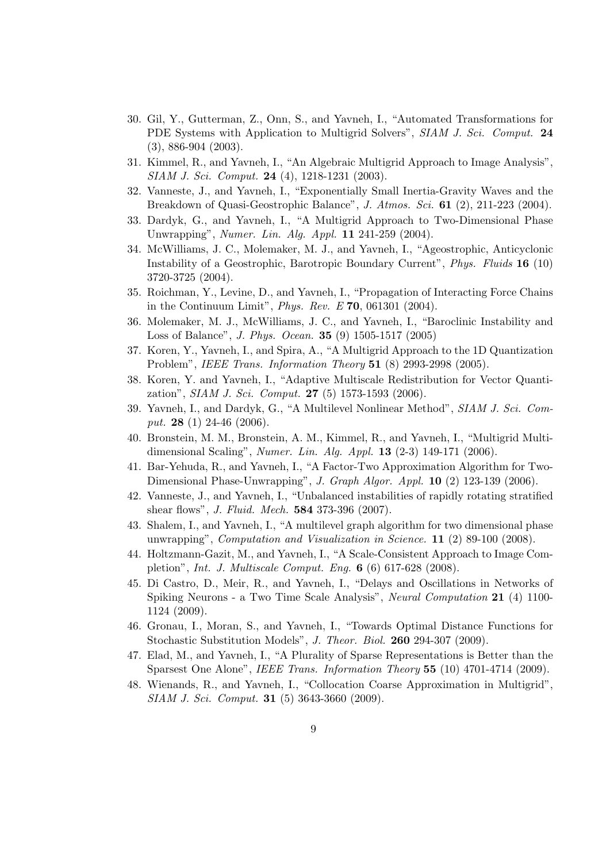- 30. Gil, Y., Gutterman, Z., Onn, S., and Yavneh, I., "Automated Transformations for PDE Systems with Application to Multigrid Solvers", SIAM J. Sci. Comput. 24 (3), 886-904 (2003).
- 31. Kimmel, R., and Yavneh, I., "An Algebraic Multigrid Approach to Image Analysis", SIAM J. Sci. Comput. 24 (4), 1218-1231 (2003).
- 32. Vanneste, J., and Yavneh, I., "Exponentially Small Inertia-Gravity Waves and the Breakdown of Quasi-Geostrophic Balance", J. Atmos. Sci. 61 (2), 211-223 (2004).
- 33. Dardyk, G., and Yavneh, I., "A Multigrid Approach to Two-Dimensional Phase Unwrapping", Numer. Lin. Alg. Appl. 11 241-259 (2004).
- 34. McWilliams, J. C., Molemaker, M. J., and Yavneh, I., "Ageostrophic, Anticyclonic Instability of a Geostrophic, Barotropic Boundary Current", Phys. Fluids 16 (10) 3720-3725 (2004).
- 35. Roichman, Y., Levine, D., and Yavneh, I., "Propagation of Interacting Force Chains in the Continuum Limit", Phys. Rev. E 70, 061301 (2004).
- 36. Molemaker, M. J., McWilliams, J. C., and Yavneh, I., "Baroclinic Instability and Loss of Balance", J. Phys. Ocean. 35 (9) 1505-1517 (2005)
- 37. Koren, Y., Yavneh, I., and Spira, A., "A Multigrid Approach to the 1D Quantization Problem", IEEE Trans. Information Theory 51 (8) 2993-2998 (2005).
- 38. Koren, Y. and Yavneh, I., "Adaptive Multiscale Redistribution for Vector Quantization", SIAM J. Sci. Comput. 27 (5) 1573-1593 (2006).
- 39. Yavneh, I., and Dardyk, G., "A Multilevel Nonlinear Method", SIAM J. Sci. Comput. **28** (1) 24-46 (2006).
- 40. Bronstein, M. M., Bronstein, A. M., Kimmel, R., and Yavneh, I., "Multigrid Multidimensional Scaling", Numer. Lin. Alg. Appl. 13 (2-3) 149-171 (2006).
- 41. Bar-Yehuda, R., and Yavneh, I., "A Factor-Two Approximation Algorithm for Two-Dimensional Phase-Unwrapping", J. Graph Algor. Appl. 10 (2) 123-139 (2006).
- 42. Vanneste, J., and Yavneh, I., "Unbalanced instabilities of rapidly rotating stratified shear flows", J. Fluid. Mech. 584 373-396 (2007).
- 43. Shalem, I., and Yavneh, I., "A multilevel graph algorithm for two dimensional phase unwrapping", Computation and Visualization in Science.  $11$  (2) 89-100 (2008).
- 44. Holtzmann-Gazit, M., and Yavneh, I., "A Scale-Consistent Approach to Image Completion", Int. J. Multiscale Comput. Eng. 6 (6) 617-628 (2008).
- 45. Di Castro, D., Meir, R., and Yavneh, I., "Delays and Oscillations in Networks of Spiking Neurons - a Two Time Scale Analysis", Neural Computation 21 (4) 1100- 1124 (2009).
- 46. Gronau, I., Moran, S., and Yavneh, I., "Towards Optimal Distance Functions for Stochastic Substitution Models", J. Theor. Biol. 260 294-307 (2009).
- 47. Elad, M., and Yavneh, I., "A Plurality of Sparse Representations is Better than the Sparsest One Alone", IEEE Trans. Information Theory 55 (10) 4701-4714 (2009).
- 48. Wienands, R., and Yavneh, I., "Collocation Coarse Approximation in Multigrid", SIAM J. Sci. Comput. 31 (5) 3643-3660 (2009).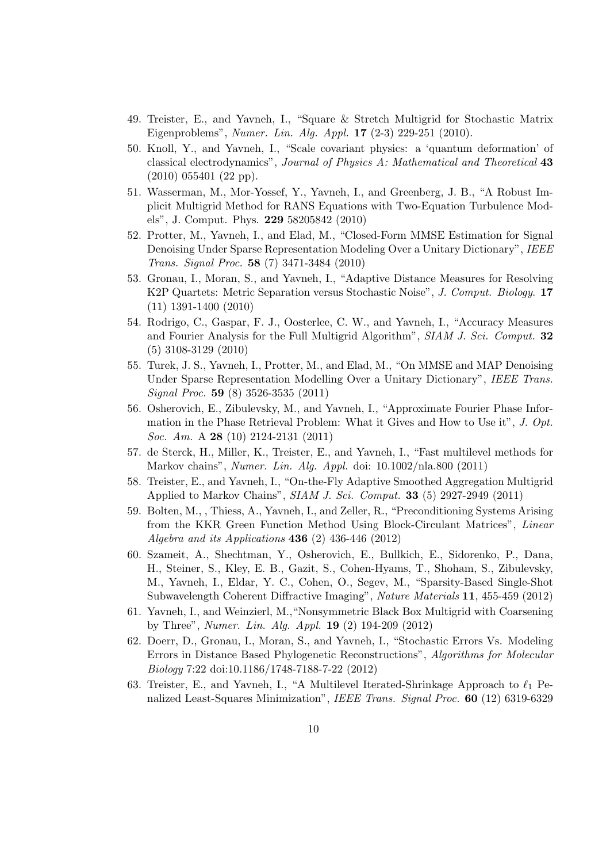- 49. Treister, E., and Yavneh, I., "Square & Stretch Multigrid for Stochastic Matrix Eigenproblems", Numer. Lin. Alg. Appl. 17 (2-3) 229-251 (2010).
- 50. Knoll, Y., and Yavneh, I., "Scale covariant physics: a 'quantum deformation' of classical electrodynamics", Journal of Physics A: Mathematical and Theoretical 43 (2010) 055401 (22 pp).
- 51. Wasserman, M., Mor-Yossef, Y., Yavneh, I., and Greenberg, J. B., "A Robust Implicit Multigrid Method for RANS Equations with Two-Equation Turbulence Models", J. Comput. Phys. 229 58205842 (2010)
- 52. Protter, M., Yavneh, I., and Elad, M., "Closed-Form MMSE Estimation for Signal Denoising Under Sparse Representation Modeling Over a Unitary Dictionary", IEEE Trans. Signal Proc. 58 (7) 3471-3484 (2010)
- 53. Gronau, I., Moran, S., and Yavneh, I., "Adaptive Distance Measures for Resolving K2P Quartets: Metric Separation versus Stochastic Noise", J. Comput. Biology. 17 (11) 1391-1400 (2010)
- 54. Rodrigo, C., Gaspar, F. J., Oosterlee, C. W., and Yavneh, I., "Accuracy Measures and Fourier Analysis for the Full Multigrid Algorithm", SIAM J. Sci. Comput. 32 (5) 3108-3129 (2010)
- 55. Turek, J. S., Yavneh, I., Protter, M., and Elad, M., "On MMSE and MAP Denoising Under Sparse Representation Modelling Over a Unitary Dictionary", IEEE Trans. Signal Proc. 59 (8) 3526-3535 (2011)
- 56. Osherovich, E., Zibulevsky, M., and Yavneh, I., "Approximate Fourier Phase Information in the Phase Retrieval Problem: What it Gives and How to Use it", J. Opt. Soc. Am. A **28** (10) 2124-2131 (2011)
- 57. de Sterck, H., Miller, K., Treister, E., and Yavneh, I., "Fast multilevel methods for Markov chains", Numer. Lin. Alg. Appl. doi: 10.1002/nla.800 (2011)
- 58. Treister, E., and Yavneh, I., "On-the-Fly Adaptive Smoothed Aggregation Multigrid Applied to Markov Chains", SIAM J. Sci. Comput. 33 (5) 2927-2949 (2011)
- 59. Bolten, M., , Thiess, A., Yavneh, I., and Zeller, R., "Preconditioning Systems Arising from the KKR Green Function Method Using Block-Circulant Matrices", Linear Algebra and its Applications 436 (2) 436-446 (2012)
- 60. Szameit, A., Shechtman, Y., Osherovich, E., Bullkich, E., Sidorenko, P., Dana, H., Steiner, S., Kley, E. B., Gazit, S., Cohen-Hyams, T., Shoham, S., Zibulevsky, M., Yavneh, I., Eldar, Y. C., Cohen, O., Segev, M., "Sparsity-Based Single-Shot Subwavelength Coherent Diffractive Imaging", Nature Materials 11, 455-459 (2012)
- 61. Yavneh, I., and Weinzierl, M.,"Nonsymmetric Black Box Multigrid with Coarsening by Three", Numer. Lin. Alg. Appl. 19 (2) 194-209 (2012)
- 62. Doerr, D., Gronau, I., Moran, S., and Yavneh, I., "Stochastic Errors Vs. Modeling Errors in Distance Based Phylogenetic Reconstructions", Algorithms for Molecular Biology 7:22 doi:10.1186/1748-7188-7-22 (2012)
- 63. Treister, E., and Yavneh, I., "A Multilevel Iterated-Shrinkage Approach to  $\ell_1$  Penalized Least-Squares Minimization", IEEE Trans. Signal Proc. 60 (12) 6319-6329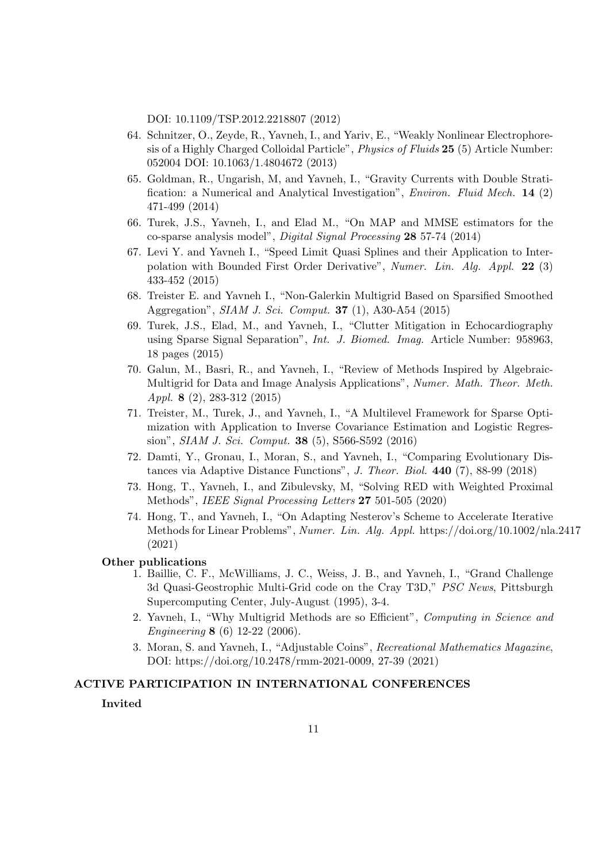DOI: 10.1109/TSP.2012.2218807 (2012)

- 64. Schnitzer, O., Zeyde, R., Yavneh, I., and Yariv, E., "Weakly Nonlinear Electrophoresis of a Highly Charged Colloidal Particle", Physics of Fluids 25 (5) Article Number: 052004 DOI: 10.1063/1.4804672 (2013)
- 65. Goldman, R., Ungarish, M, and Yavneh, I., "Gravity Currents with Double Stratification: a Numerical and Analytical Investigation", Environ. Fluid Mech. 14 (2) 471-499 (2014)
- 66. Turek, J.S., Yavneh, I., and Elad M., "On MAP and MMSE estimators for the co-sparse analysis model", Digital Signal Processing 28 57-74 (2014)
- 67. Levi Y. and Yavneh I., "Speed Limit Quasi Splines and their Application to Interpolation with Bounded First Order Derivative", Numer. Lin. Alg. Appl. 22 (3) 433-452 (2015)
- 68. Treister E. and Yavneh I., "Non-Galerkin Multigrid Based on Sparsified Smoothed Aggregation", SIAM J. Sci. Comput. 37 (1), A30-A54 (2015)
- 69. Turek, J.S., Elad, M., and Yavneh, I., "Clutter Mitigation in Echocardiography using Sparse Signal Separation", Int. J. Biomed. Imag. Article Number: 958963, 18 pages (2015)
- 70. Galun, M., Basri, R., and Yavneh, I., "Review of Methods Inspired by Algebraic-Multigrid for Data and Image Analysis Applications", Numer. Math. Theor. Meth. Appl. 8 (2), 283-312 (2015)
- 71. Treister, M., Turek, J., and Yavneh, I., "A Multilevel Framework for Sparse Optimization with Application to Inverse Covariance Estimation and Logistic Regression", SIAM J. Sci. Comput. 38 (5), S566-S592 (2016)
- 72. Damti, Y., Gronau, I., Moran, S., and Yavneh, I., "Comparing Evolutionary Distances via Adaptive Distance Functions", J. Theor. Biol. 440 (7), 88-99 (2018)
- 73. Hong, T., Yavneh, I., and Zibulevsky, M, "Solving RED with Weighted Proximal Methods", IEEE Signal Processing Letters 27 501-505 (2020)
- 74. Hong, T., and Yavneh, I., "On Adapting Nesterov's Scheme to Accelerate Iterative Methods for Linear Problems", Numer. Lin. Alg. Appl. https://doi.org/10.1002/nla.2417 (2021)

#### Other publications

- 1. Baillie, C. F., McWilliams, J. C., Weiss, J. B., and Yavneh, I., "Grand Challenge 3d Quasi-Geostrophic Multi-Grid code on the Cray T3D," PSC News, Pittsburgh Supercomputing Center, July-August (1995), 3-4.
- 2. Yavneh, I., "Why Multigrid Methods are so Efficient", Computing in Science and Engineering 8 (6) 12-22 (2006).
- 3. Moran, S. and Yavneh, I., "Adjustable Coins", Recreational Mathematics Magazine, DOI: https://doi.org/10.2478/rmm-2021-0009, 27-39 (2021)

#### ACTIVE PARTICIPATION IN INTERNATIONAL CONFERENCES

## Invited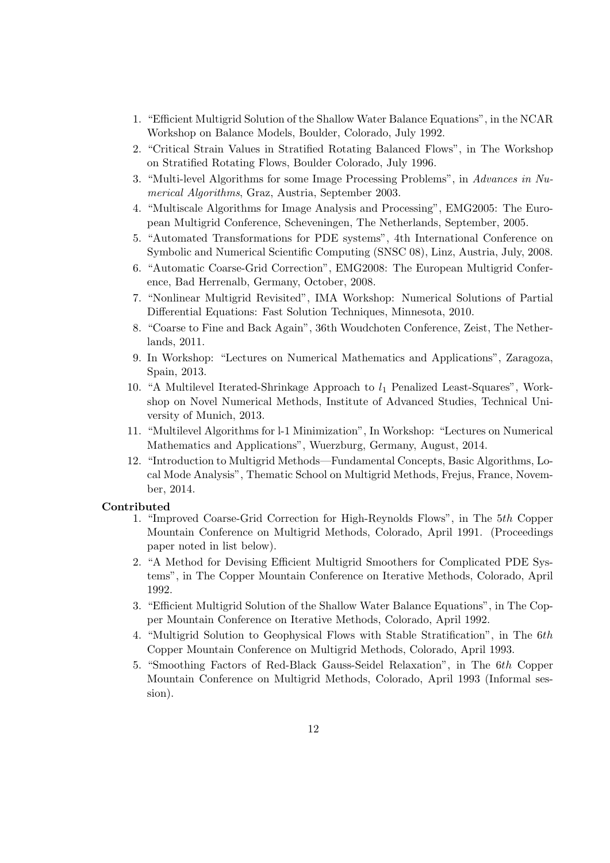- 1. "Efficient Multigrid Solution of the Shallow Water Balance Equations", in the NCAR Workshop on Balance Models, Boulder, Colorado, July 1992.
- 2. "Critical Strain Values in Stratified Rotating Balanced Flows", in The Workshop on Stratified Rotating Flows, Boulder Colorado, July 1996.
- 3. "Multi-level Algorithms for some Image Processing Problems", in Advances in Numerical Algorithms, Graz, Austria, September 2003.
- 4. "Multiscale Algorithms for Image Analysis and Processing", EMG2005: The European Multigrid Conference, Scheveningen, The Netherlands, September, 2005.
- 5. "Automated Transformations for PDE systems", 4th International Conference on Symbolic and Numerical Scientific Computing (SNSC 08), Linz, Austria, July, 2008.
- 6. "Automatic Coarse-Grid Correction", EMG2008: The European Multigrid Conference, Bad Herrenalb, Germany, October, 2008.
- 7. "Nonlinear Multigrid Revisited", IMA Workshop: Numerical Solutions of Partial Differential Equations: Fast Solution Techniques, Minnesota, 2010.
- 8. "Coarse to Fine and Back Again", 36th Woudchoten Conference, Zeist, The Netherlands, 2011.
- 9. In Workshop: "Lectures on Numerical Mathematics and Applications", Zaragoza, Spain, 2013.
- 10. "A Multilevel Iterated-Shrinkage Approach to  $l_1$  Penalized Least-Squares", Workshop on Novel Numerical Methods, Institute of Advanced Studies, Technical University of Munich, 2013.
- 11. "Multilevel Algorithms for l-1 Minimization", In Workshop: "Lectures on Numerical Mathematics and Applications", Wuerzburg, Germany, August, 2014.
- 12. "Introduction to Multigrid Methods—Fundamental Concepts, Basic Algorithms, Local Mode Analysis", Thematic School on Multigrid Methods, Frejus, France, November, 2014.

## Contributed

- 1. "Improved Coarse-Grid Correction for High-Reynolds Flows", in The 5th Copper Mountain Conference on Multigrid Methods, Colorado, April 1991. (Proceedings paper noted in list below).
- 2. "A Method for Devising Efficient Multigrid Smoothers for Complicated PDE Systems", in The Copper Mountain Conference on Iterative Methods, Colorado, April 1992.
- 3. "Efficient Multigrid Solution of the Shallow Water Balance Equations", in The Copper Mountain Conference on Iterative Methods, Colorado, April 1992.
- 4. "Multigrid Solution to Geophysical Flows with Stable Stratification", in The 6th Copper Mountain Conference on Multigrid Methods, Colorado, April 1993.
- 5. "Smoothing Factors of Red-Black Gauss-Seidel Relaxation", in The 6th Copper Mountain Conference on Multigrid Methods, Colorado, April 1993 (Informal session).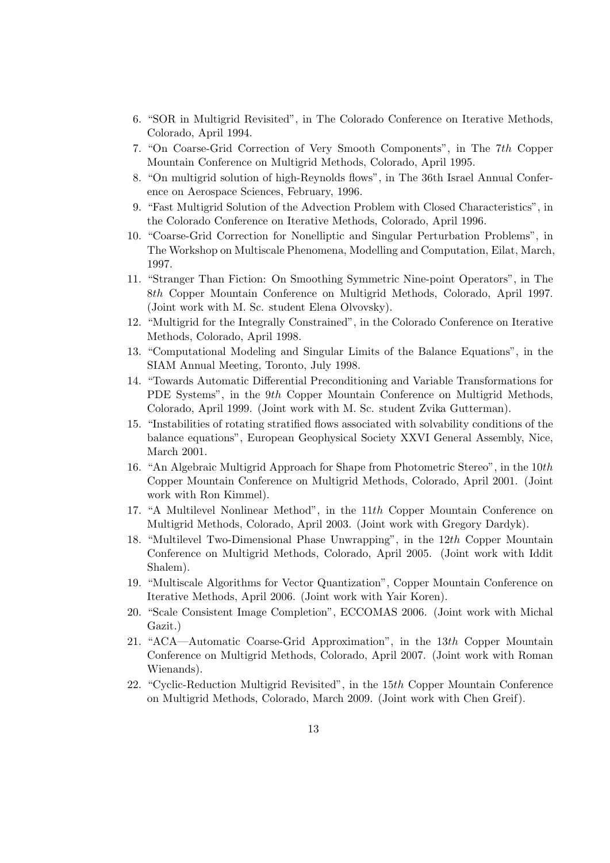- 6. "SOR in Multigrid Revisited", in The Colorado Conference on Iterative Methods, Colorado, April 1994.
- 7. "On Coarse-Grid Correction of Very Smooth Components", in The 7th Copper Mountain Conference on Multigrid Methods, Colorado, April 1995.
- 8. "On multigrid solution of high-Reynolds flows", in The 36th Israel Annual Conference on Aerospace Sciences, February, 1996.
- 9. "Fast Multigrid Solution of the Advection Problem with Closed Characteristics", in the Colorado Conference on Iterative Methods, Colorado, April 1996.
- 10. "Coarse-Grid Correction for Nonelliptic and Singular Perturbation Problems", in The Workshop on Multiscale Phenomena, Modelling and Computation, Eilat, March, 1997.
- 11. "Stranger Than Fiction: On Smoothing Symmetric Nine-point Operators", in The 8th Copper Mountain Conference on Multigrid Methods, Colorado, April 1997. (Joint work with M. Sc. student Elena Olvovsky).
- 12. "Multigrid for the Integrally Constrained", in the Colorado Conference on Iterative Methods, Colorado, April 1998.
- 13. "Computational Modeling and Singular Limits of the Balance Equations", in the SIAM Annual Meeting, Toronto, July 1998.
- 14. "Towards Automatic Differential Preconditioning and Variable Transformations for PDE Systems", in the 9th Copper Mountain Conference on Multigrid Methods, Colorado, April 1999. (Joint work with M. Sc. student Zvika Gutterman).
- 15. "Instabilities of rotating stratified flows associated with solvability conditions of the balance equations", European Geophysical Society XXVI General Assembly, Nice, March 2001.
- 16. "An Algebraic Multigrid Approach for Shape from Photometric Stereo", in the 10th Copper Mountain Conference on Multigrid Methods, Colorado, April 2001. (Joint work with Ron Kimmel).
- 17. "A Multilevel Nonlinear Method", in the 11th Copper Mountain Conference on Multigrid Methods, Colorado, April 2003. (Joint work with Gregory Dardyk).
- 18. "Multilevel Two-Dimensional Phase Unwrapping", in the 12th Copper Mountain Conference on Multigrid Methods, Colorado, April 2005. (Joint work with Iddit Shalem).
- 19. "Multiscale Algorithms for Vector Quantization", Copper Mountain Conference on Iterative Methods, April 2006. (Joint work with Yair Koren).
- 20. "Scale Consistent Image Completion", ECCOMAS 2006. (Joint work with Michal Gazit.)
- 21. "ACA—Automatic Coarse-Grid Approximation", in the 13th Copper Mountain Conference on Multigrid Methods, Colorado, April 2007. (Joint work with Roman Wienands).
- 22. "Cyclic-Reduction Multigrid Revisited", in the 15th Copper Mountain Conference on Multigrid Methods, Colorado, March 2009. (Joint work with Chen Greif).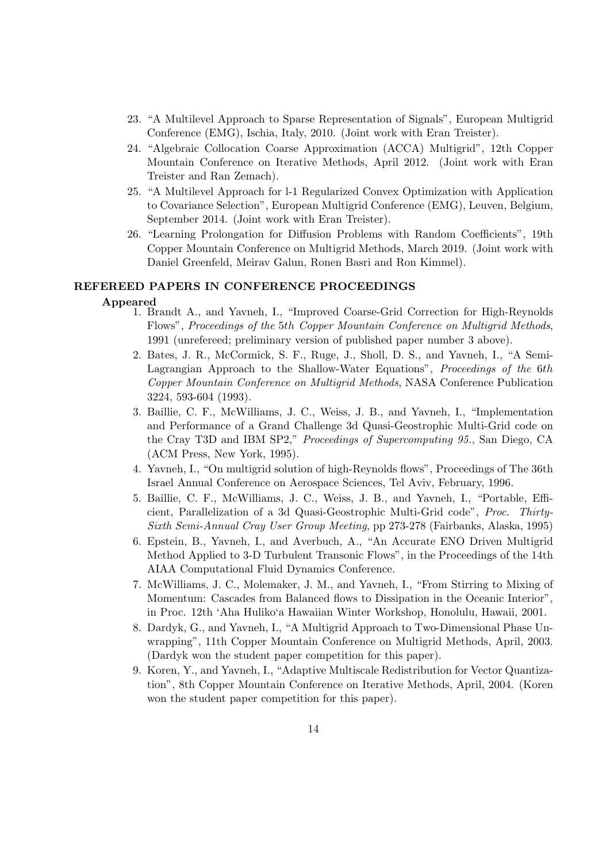- 23. "A Multilevel Approach to Sparse Representation of Signals", European Multigrid Conference (EMG), Ischia, Italy, 2010. (Joint work with Eran Treister).
- 24. "Algebraic Collocation Coarse Approximation (ACCA) Multigrid", 12th Copper Mountain Conference on Iterative Methods, April 2012. (Joint work with Eran Treister and Ran Zemach).
- 25. "A Multilevel Approach for l-1 Regularized Convex Optimization with Application to Covariance Selection", European Multigrid Conference (EMG), Leuven, Belgium, September 2014. (Joint work with Eran Treister).
- 26. "Learning Prolongation for Diffusion Problems with Random Coefficients", 19th Copper Mountain Conference on Multigrid Methods, March 2019. (Joint work with Daniel Greenfeld, Meirav Galun, Ronen Basri and Ron Kimmel).

## REFEREED PAPERS IN CONFERENCE PROCEEDINGS

#### Appeared

- 1. Brandt A., and Yavneh, I., "Improved Coarse-Grid Correction for High-Reynolds Flows", Proceedings of the 5th Copper Mountain Conference on Multigrid Methods, 1991 (unrefereed; preliminary version of published paper number 3 above).
- 2. Bates, J. R., McCormick, S. F., Ruge, J., Sholl, D. S., and Yavneh, I., "A Semi-Lagrangian Approach to the Shallow-Water Equations", Proceedings of the 6th Copper Mountain Conference on Multigrid Methods, NASA Conference Publication 3224, 593-604 (1993).
- 3. Baillie, C. F., McWilliams, J. C., Weiss, J. B., and Yavneh, I., "Implementation and Performance of a Grand Challenge 3d Quasi-Geostrophic Multi-Grid code on the Cray T3D and IBM SP2," Proceedings of Supercomputing 95., San Diego, CA (ACM Press, New York, 1995).
- 4. Yavneh, I., "On multigrid solution of high-Reynolds flows", Proceedings of The 36th Israel Annual Conference on Aerospace Sciences, Tel Aviv, February, 1996.
- 5. Baillie, C. F., McWilliams, J. C., Weiss, J. B., and Yavneh, I., "Portable, Efficient, Parallelization of a 3d Quasi-Geostrophic Multi-Grid code", Proc. Thirty-Sixth Semi-Annual Cray User Group Meeting, pp 273-278 (Fairbanks, Alaska, 1995)
- 6. Epstein, B., Yavneh, I., and Averbuch, A., "An Accurate ENO Driven Multigrid Method Applied to 3-D Turbulent Transonic Flows", in the Proceedings of the 14th AIAA Computational Fluid Dynamics Conference.
- 7. McWilliams, J. C., Molemaker, J. M., and Yavneh, I., "From Stirring to Mixing of Momentum: Cascades from Balanced flows to Dissipation in the Oceanic Interior", in Proc. 12th 'Aha Huliko'a Hawaiian Winter Workshop, Honolulu, Hawaii, 2001.
- 8. Dardyk, G., and Yavneh, I., "A Multigrid Approach to Two-Dimensional Phase Unwrapping", 11th Copper Mountain Conference on Multigrid Methods, April, 2003. (Dardyk won the student paper competition for this paper).
- 9. Koren, Y., and Yavneh, I., "Adaptive Multiscale Redistribution for Vector Quantization", 8th Copper Mountain Conference on Iterative Methods, April, 2004. (Koren won the student paper competition for this paper).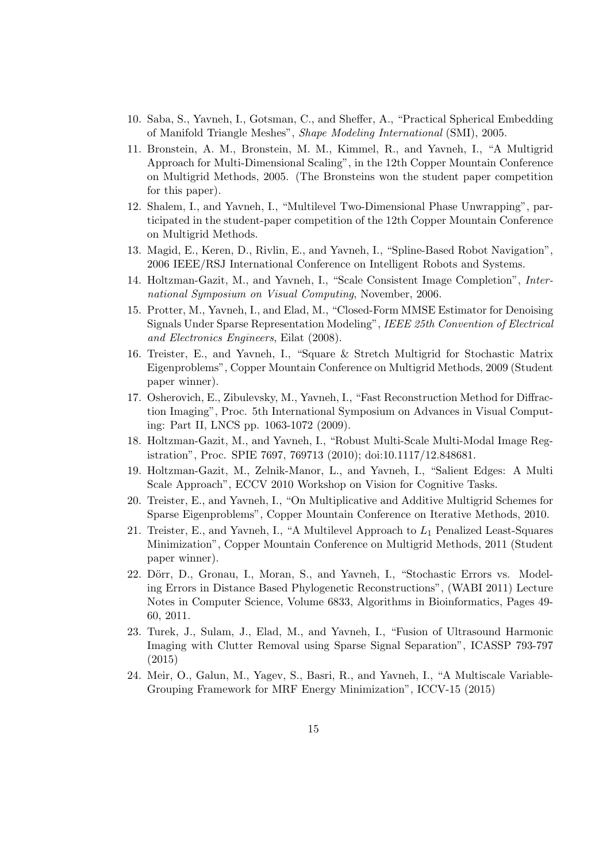- 10. Saba, S., Yavneh, I., Gotsman, C., and Sheffer, A., "Practical Spherical Embedding of Manifold Triangle Meshes", Shape Modeling International (SMI), 2005.
- 11. Bronstein, A. M., Bronstein, M. M., Kimmel, R., and Yavneh, I., "A Multigrid Approach for Multi-Dimensional Scaling", in the 12th Copper Mountain Conference on Multigrid Methods, 2005. (The Bronsteins won the student paper competition for this paper).
- 12. Shalem, I., and Yavneh, I., "Multilevel Two-Dimensional Phase Unwrapping", participated in the student-paper competition of the 12th Copper Mountain Conference on Multigrid Methods.
- 13. Magid, E., Keren, D., Rivlin, E., and Yavneh, I., "Spline-Based Robot Navigation", 2006 IEEE/RSJ International Conference on Intelligent Robots and Systems.
- 14. Holtzman-Gazit, M., and Yavneh, I., "Scale Consistent Image Completion", International Symposium on Visual Computing, November, 2006.
- 15. Protter, M., Yavneh, I., and Elad, M., "Closed-Form MMSE Estimator for Denoising Signals Under Sparse Representation Modeling", IEEE 25th Convention of Electrical and Electronics Engineers, Eilat (2008).
- 16. Treister, E., and Yavneh, I., "Square & Stretch Multigrid for Stochastic Matrix Eigenproblems", Copper Mountain Conference on Multigrid Methods, 2009 (Student paper winner).
- 17. Osherovich, E., Zibulevsky, M., Yavneh, I., "Fast Reconstruction Method for Diffraction Imaging", Proc. 5th International Symposium on Advances in Visual Computing: Part II, LNCS pp. 1063-1072 (2009).
- 18. Holtzman-Gazit, M., and Yavneh, I., "Robust Multi-Scale Multi-Modal Image Registration", Proc. SPIE 7697, 769713 (2010); doi:10.1117/12.848681.
- 19. Holtzman-Gazit, M., Zelnik-Manor, L., and Yavneh, I., "Salient Edges: A Multi Scale Approach", ECCV 2010 Workshop on Vision for Cognitive Tasks.
- 20. Treister, E., and Yavneh, I., "On Multiplicative and Additive Multigrid Schemes for Sparse Eigenproblems", Copper Mountain Conference on Iterative Methods, 2010.
- 21. Treister, E., and Yavneh, I., "A Multilevel Approach to L<sup>1</sup> Penalized Least-Squares Minimization", Copper Mountain Conference on Multigrid Methods, 2011 (Student paper winner).
- 22. Dörr, D., Gronau, I., Moran, S., and Yavneh, I., "Stochastic Errors vs. Modeling Errors in Distance Based Phylogenetic Reconstructions", (WABI 2011) Lecture Notes in Computer Science, Volume 6833, Algorithms in Bioinformatics, Pages 49- 60, 2011.
- 23. Turek, J., Sulam, J., Elad, M., and Yavneh, I., "Fusion of Ultrasound Harmonic Imaging with Clutter Removal using Sparse Signal Separation", ICASSP 793-797 (2015)
- 24. Meir, O., Galun, M., Yagev, S., Basri, R., and Yavneh, I., "A Multiscale Variable-Grouping Framework for MRF Energy Minimization", ICCV-15 (2015)